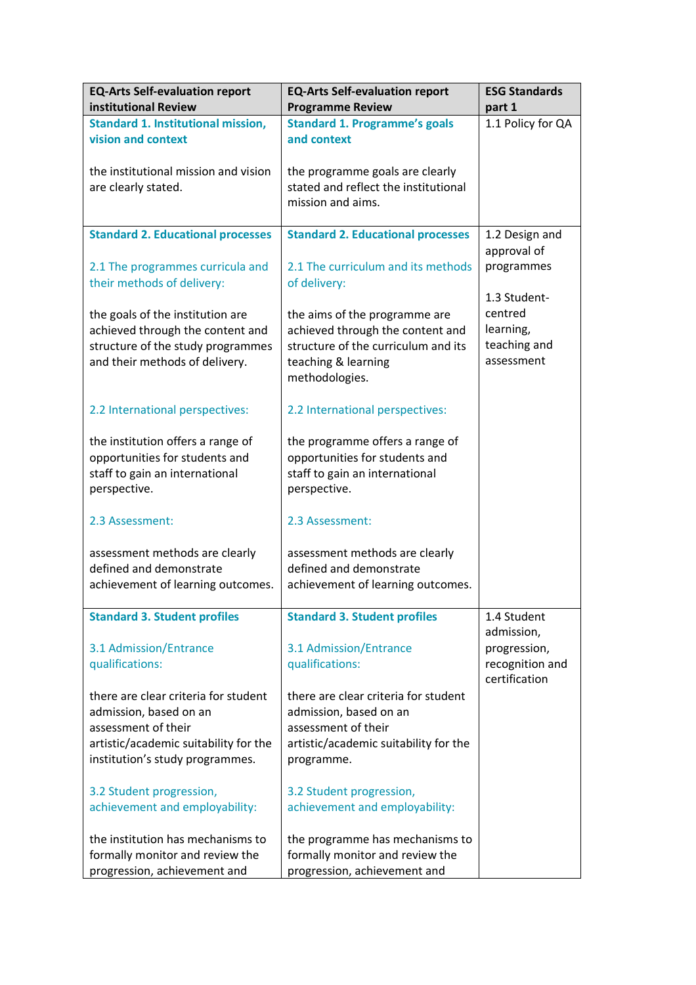| <b>EQ-Arts Self-evaluation report</b><br>institutional Review            | <b>EQ-Arts Self-evaluation report</b><br><b>Programme Review</b>                             | <b>ESG Standards</b><br>part 1   |
|--------------------------------------------------------------------------|----------------------------------------------------------------------------------------------|----------------------------------|
| <b>Standard 1. Institutional mission,</b>                                | <b>Standard 1. Programme's goals</b>                                                         | 1.1 Policy for QA                |
| vision and context                                                       | and context                                                                                  |                                  |
| the institutional mission and vision<br>are clearly stated.              | the programme goals are clearly<br>stated and reflect the institutional<br>mission and aims. |                                  |
| <b>Standard 2. Educational processes</b>                                 | <b>Standard 2. Educational processes</b>                                                     | 1.2 Design and<br>approval of    |
| 2.1 The programmes curricula and<br>their methods of delivery:           | 2.1 The curriculum and its methods<br>of delivery:                                           | programmes                       |
|                                                                          |                                                                                              | 1.3 Student-                     |
| the goals of the institution are                                         | the aims of the programme are                                                                | centred                          |
| achieved through the content and                                         | achieved through the content and                                                             | learning,                        |
| structure of the study programmes<br>and their methods of delivery.      | structure of the curriculum and its<br>teaching & learning<br>methodologies.                 | teaching and<br>assessment       |
|                                                                          |                                                                                              |                                  |
| 2.2 International perspectives:                                          | 2.2 International perspectives:                                                              |                                  |
| the institution offers a range of                                        | the programme offers a range of                                                              |                                  |
| opportunities for students and                                           | opportunities for students and                                                               |                                  |
| staff to gain an international<br>perspective.                           | staff to gain an international<br>perspective.                                               |                                  |
| 2.3 Assessment:                                                          | 2.3 Assessment:                                                                              |                                  |
| assessment methods are clearly<br>defined and demonstrate                | assessment methods are clearly<br>defined and demonstrate                                    |                                  |
| achievement of learning outcomes.                                        | achievement of learning outcomes.                                                            |                                  |
| <b>Standard 3. Student profiles</b>                                      | <b>Standard 3. Student profiles</b>                                                          | 1.4 Student<br>admission,        |
| 3.1 Admission/Entrance                                                   | 3.1 Admission/Entrance                                                                       | progression,                     |
| qualifications:                                                          | qualifications:                                                                              | recognition and<br>certification |
| there are clear criteria for student                                     | there are clear criteria for student                                                         |                                  |
| admission, based on an                                                   | admission, based on an                                                                       |                                  |
| assessment of their                                                      | assessment of their                                                                          |                                  |
| artistic/academic suitability for the<br>institution's study programmes. | artistic/academic suitability for the                                                        |                                  |
|                                                                          | programme.                                                                                   |                                  |
| 3.2 Student progression,                                                 | 3.2 Student progression,                                                                     |                                  |
| achievement and employability:                                           | achievement and employability:                                                               |                                  |
| the institution has mechanisms to                                        | the programme has mechanisms to                                                              |                                  |
| formally monitor and review the                                          | formally monitor and review the                                                              |                                  |
| progression, achievement and                                             | progression, achievement and                                                                 |                                  |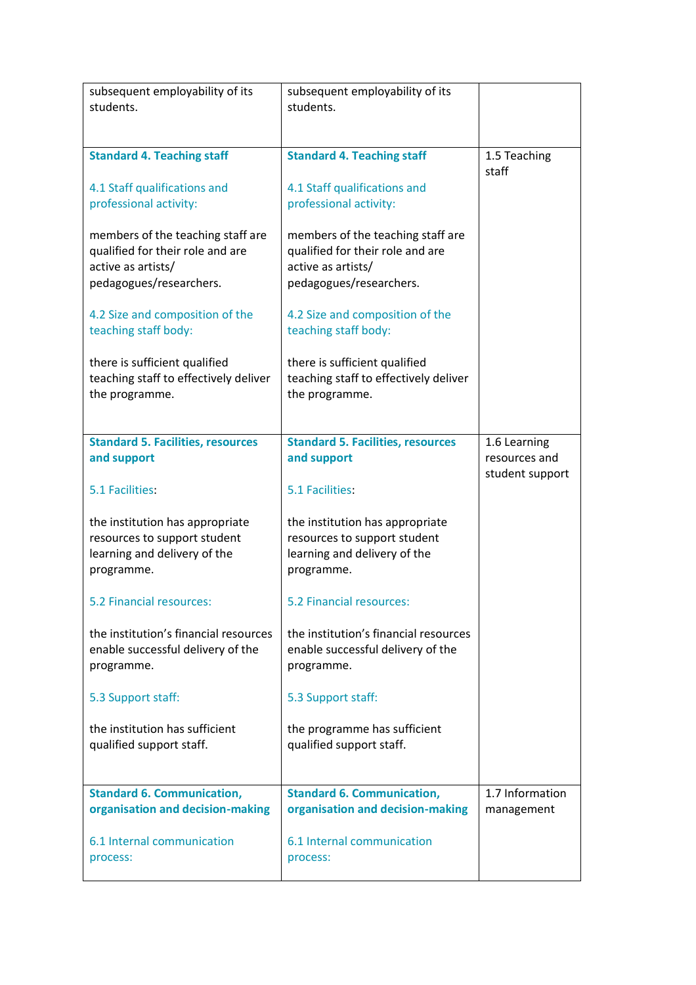| subsequent employability of its                                                                                        | subsequent employability of its                                                                                        |                                  |
|------------------------------------------------------------------------------------------------------------------------|------------------------------------------------------------------------------------------------------------------------|----------------------------------|
| students.                                                                                                              | students.                                                                                                              |                                  |
|                                                                                                                        |                                                                                                                        |                                  |
| <b>Standard 4. Teaching staff</b>                                                                                      | <b>Standard 4. Teaching staff</b>                                                                                      | 1.5 Teaching<br>staff            |
| 4.1 Staff qualifications and<br>professional activity:                                                                 | 4.1 Staff qualifications and<br>professional activity:                                                                 |                                  |
| members of the teaching staff are<br>qualified for their role and are<br>active as artists/<br>pedagogues/researchers. | members of the teaching staff are<br>qualified for their role and are<br>active as artists/<br>pedagogues/researchers. |                                  |
| 4.2 Size and composition of the<br>teaching staff body:                                                                | 4.2 Size and composition of the<br>teaching staff body:                                                                |                                  |
| there is sufficient qualified<br>teaching staff to effectively deliver<br>the programme.                               | there is sufficient qualified<br>teaching staff to effectively deliver<br>the programme.                               |                                  |
| <b>Standard 5. Facilities, resources</b>                                                                               | <b>Standard 5. Facilities, resources</b>                                                                               | 1.6 Learning                     |
| and support                                                                                                            | and support                                                                                                            | resources and<br>student support |
| 5.1 Facilities:                                                                                                        | 5.1 Facilities:                                                                                                        |                                  |
| the institution has appropriate<br>resources to support student<br>learning and delivery of the<br>programme.          | the institution has appropriate<br>resources to support student<br>learning and delivery of the<br>programme.          |                                  |
| 5.2 Financial resources:                                                                                               | 5.2 Financial resources:                                                                                               |                                  |
| the institution's financial resources<br>enable successful delivery of the<br>programme.                               | the institution's financial resources<br>enable successful delivery of the<br>programme.                               |                                  |
| 5.3 Support staff:                                                                                                     | 5.3 Support staff:                                                                                                     |                                  |
| the institution has sufficient<br>qualified support staff.                                                             | the programme has sufficient<br>qualified support staff.                                                               |                                  |
| <b>Standard 6. Communication,</b>                                                                                      | <b>Standard 6. Communication,</b>                                                                                      | 1.7 Information                  |
| organisation and decision-making                                                                                       | organisation and decision-making                                                                                       | management                       |
| 6.1 Internal communication<br>process:                                                                                 | 6.1 Internal communication<br>process:                                                                                 |                                  |